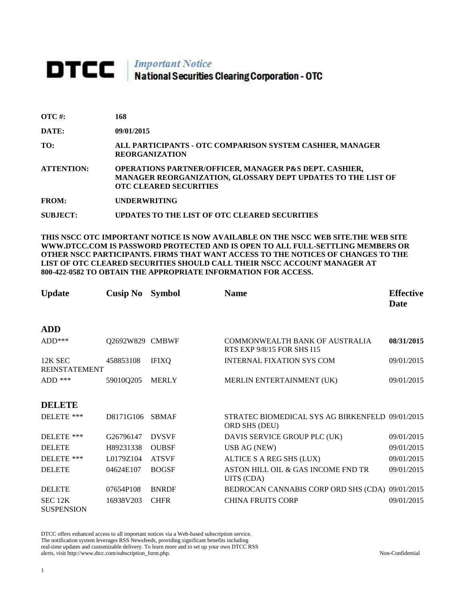## **DTCC** National Securities Clearing Corporation - OTC

**SUBJECT: UPDATES TO THE LIST OF OTC CLEARED SECURITIES**

| OTC #:            | 168                                                                                                                                                                |
|-------------------|--------------------------------------------------------------------------------------------------------------------------------------------------------------------|
| DATE:             | 09/01/2015                                                                                                                                                         |
| TO:               | ALL PARTICIPANTS - OTC COMPARISON SYSTEM CASHIER, MANAGER<br><b>REORGANIZATION</b>                                                                                 |
| <b>ATTENTION:</b> | <b>OPERATIONS PARTNER/OFFICER, MANAGER P&amp;S DEPT. CASHIER,</b><br>MANAGER REORGANIZATION, GLOSSARY DEPT UPDATES TO THE LIST OF<br><b>OTC CLEARED SECURITIES</b> |
| <b>FROM:</b>      | <b>UNDERWRITING</b>                                                                                                                                                |
|                   |                                                                                                                                                                    |

**THIS NSCC OTC IMPORTANT NOTICE IS NOW AVAILABLE ON THE NSCC WEB SITE.THE WEB SITE WWW.DTCC.COM IS PASSWORD PROTECTED AND IS OPEN TO ALL FULL-SETTLING MEMBERS OR OTHER NSCC PARTICIPANTS. FIRMS THAT WANT ACCESS TO THE NOTICES OF CHANGES TO THE LIST OF OTC CLEARED SECURITIES SHOULD CALL THEIR NSCC ACCOUNT MANAGER AT 800-422-0582 TO OBTAIN THE APPROPRIATE INFORMATION FOR ACCESS.** 

| <b>Update</b>                   | <b>Cusip No</b> | <b>Symbol</b> | <b>Name</b>                                                      | <b>Effective</b><br><b>Date</b> |
|---------------------------------|-----------------|---------------|------------------------------------------------------------------|---------------------------------|
| <b>ADD</b>                      |                 |               |                                                                  |                                 |
| $ADD***$                        | Q2692W829 CMBWF |               | COMMONWEALTH BANK OF AUSTRALIA<br>RTS EXP 9/8/15 FOR SHS I15     | 08/31/2015                      |
| 12K SEC<br><b>REINSTATEMENT</b> | 458853108       | <b>IFIXO</b>  | <b>INTERNAL FIXATION SYS COM</b>                                 | 09/01/2015                      |
| $ADD$ ***                       | 59010Q205       | <b>MERLY</b>  | MERLIN ENTERTAINMENT (UK)                                        | 09/01/2015                      |
| <b>DELETE</b>                   |                 |               |                                                                  |                                 |
| DELETE ***                      | D8171G106       | <b>SBMAF</b>  | STRATEC BIOMEDICAL SYS AG BIRKENFELD 09/01/2015<br>ORD SHS (DEU) |                                 |
| DELETE ***                      | G26796147       | <b>DVSVF</b>  | DAVIS SERVICE GROUP PLC (UK)                                     | 09/01/2015                      |
| <b>DELETE</b>                   | H89231338       | <b>OUBSF</b>  | <b>USB AG (NEW)</b>                                              | 09/01/2015                      |
| DELETE ***                      | L0179Z104       | <b>ATSVF</b>  | ALTICE S A REG SHS (LUX)                                         | 09/01/2015                      |
| <b>DELETE</b>                   | 04624E107       | <b>BOGSF</b>  | ASTON HILL OIL & GAS INCOME FND TR<br>UITS (CDA)                 | 09/01/2015                      |
| <b>DELETE</b>                   | 07654P108       | <b>BNRDF</b>  | BEDROCAN CANNABIS CORP ORD SHS (CDA) 09/01/2015                  |                                 |
| SEC 12K<br><b>SUSPENSION</b>    | 16938V203       | <b>CHFR</b>   | <b>CHINA FRUITS CORP</b>                                         | 09/01/2015                      |

DTCC offers enhanced access to all important notices via a Web-based subscription service. The notification system leverages RSS Newsfeeds, providing significant benefits including real-time updates and customizable delivery. To learn more and to set up your own DTCC RSS alerts, visit http://www.dtcc.com/subscription\_form.php. Non-Confidential